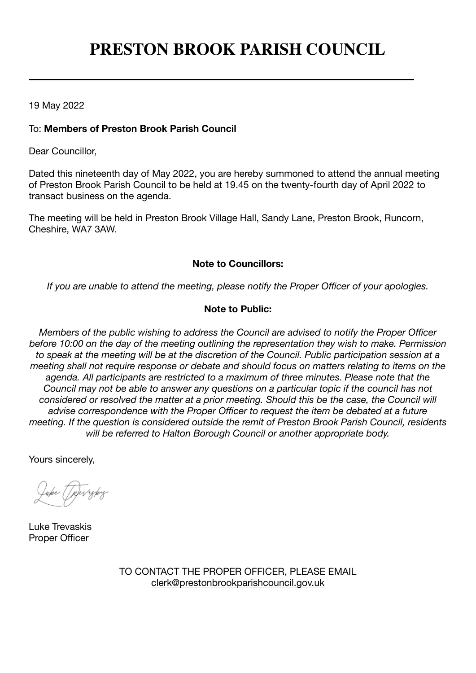# **PRESTON BROOK PARISH COUNCIL**

19 May 2022

### To: **Members of Preston Brook Parish Council**

Dear Councillor,

Dated this nineteenth day of May 2022, you are hereby summoned to attend the annual meeting of Preston Brook Parish Council to be held at 19.45 on the twenty-fourth day of April 2022 to transact business on the agenda.

The meeting will be held in Preston Brook Village Hall, Sandy Lane, Preston Brook, Runcorn, Cheshire, WA7 3AW.

#### **Note to Councillors:**

*If you are unable to attend the meeting, please notify the Proper Officer of your apologies.*

## **Note to Public:**

*Members of the public wishing to address the Council are advised to notify the Proper Officer before 10:00 on the day of the meeting outlining the representation they wish to make. Permission to speak at the meeting will be at the discretion of the Council. Public participation session at a meeting shall not require response or debate and should focus on matters relating to items on the agenda. All participants are restricted to a maximum of three minutes. Please note that the Council may not be able to answer any questions on a particular topic if the council has not considered or resolved the matter at a prior meeting. Should this be the case, the Council will advise correspondence with the Proper Officer to request the item be debated at a future meeting. If the question is considered outside the remit of Preston Brook Parish Council, residents will be referred to Halton Borough Council or another appropriate body.*

Yours sincerely,

uke [[p]errgkig

Luke Trevaskis Proper Officer

TO CONTACT THE PROPER OFFICER, PLEASE EMAIL [clerk@prestonbrookparishcouncil.gov.uk](mailto:clerk@prestonbrookparishcouncil.gov.uk)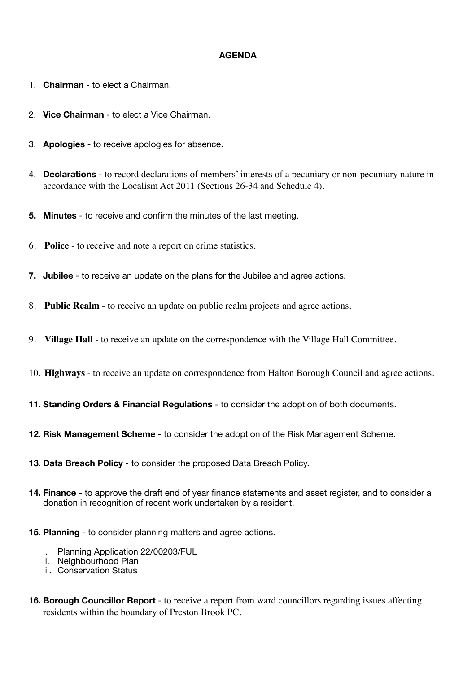#### **AGENDA**

- 1. **Chairman** to elect a Chairman.
- 2. **Vice Chairman** to elect a Vice Chairman.
- 3. **Apologies** to receive apologies for absence.
- 4. **Declarations** to record declarations of members' interests of a pecuniary or non-pecuniary nature in accordance with the Localism Act 2011 (Sections 26-34 and Schedule 4).
- **5. Minutes**  to receive and confirm the minutes of the last meeting.
- 6. **Police**  to receive and note a report on crime statistics.
- **7. Jubilee**  to receive an update on the plans for the Jubilee and agree actions.
- 8. **Public Realm** to receive an update on public realm projects and agree actions.
- 9. **Village Hall** to receive an update on the correspondence with the Village Hall Committee.
- 10. **Highways** to receive an update on correspondence from Halton Borough Council and agree actions.
- **11. Standing Orders & Financial Regulations** to consider the adoption of both documents.
- **12. Risk Management Scheme** to consider the adoption of the Risk Management Scheme.
- **13. Data Breach Policy** to consider the proposed Data Breach Policy.
- **14. Finance** to approve the draft end of year finance statements and asset register, and to consider a donation in recognition of recent work undertaken by a resident.
- **15. Planning** to consider planning matters and agree actions.
	- i. Planning Application 22/00203/FUL
	- ii. Neighbourhood Plan
	- iii. Conservation Status
- **16. Borough Councillor Report** to receive a report from ward councillors regarding issues affecting residents within the boundary of Preston Brook PC.